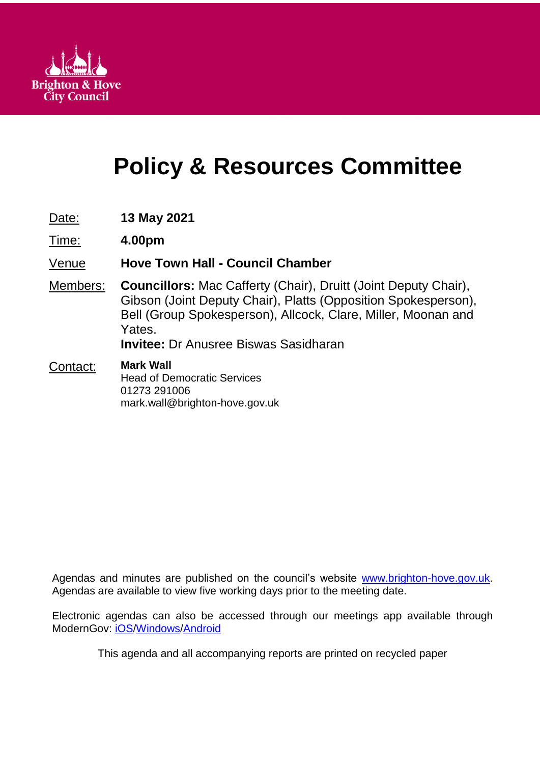

# **Policy & Resources Committee**

- Date: **13 May 2021**
- Time: **4.00pm**

Venue **Hove Town Hall - Council Chamber**

Members: **Councillors:** Mac Cafferty (Chair), Druitt (Joint Deputy Chair), Gibson (Joint Deputy Chair), Platts (Opposition Spokesperson), Bell (Group Spokesperson), Allcock, Clare, Miller, Moonan and Yates. **Invitee:** Dr Anusree Biswas Sasidharan

Contact: **Mark Wall**

Head of Democratic Services 01273 291006 mark.wall@brighton-hove.gov.uk

Agendas and minutes are published on the council's website [www.brighton-hove.gov.uk.](http://www.brighton-hove.gov.uk/) Agendas are available to view five working days prior to the meeting date.

Electronic agendas can also be accessed through our meetings app available through ModernGov: [iOS](https://play.google.com/store/apps/details?id=uk.co.moderngov.modgov&hl=en_GB)[/Windows/](https://www.microsoft.com/en-gb/p/modgov/9nblggh0c7s7#activetab=pivot:overviewtab)[Android](https://play.google.com/store/apps/details?id=uk.co.moderngov.modgov&hl=en_GB)

This agenda and all accompanying reports are printed on recycled paper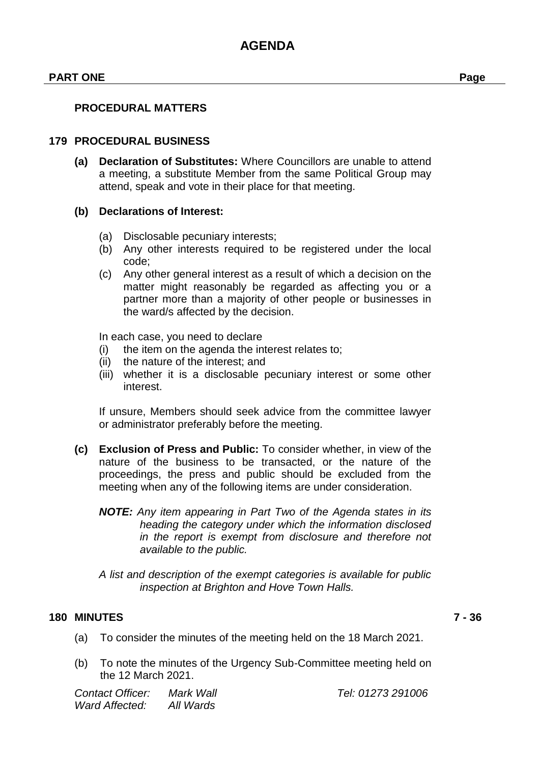#### **PART ONE Page**

#### **179 PROCEDURAL BUSINESS**

**(a) Declaration of Substitutes:** Where Councillors are unable to attend a meeting, a substitute Member from the same Political Group may attend, speak and vote in their place for that meeting.

#### **(b) Declarations of Interest:**

- (a) Disclosable pecuniary interests;
- (b) Any other interests required to be registered under the local code;
- (c) Any other general interest as a result of which a decision on the matter might reasonably be regarded as affecting you or a partner more than a majority of other people or businesses in the ward/s affected by the decision.

In each case, you need to declare

- (i) the item on the agenda the interest relates to;
- (ii) the nature of the interest; and
- (iii) whether it is a disclosable pecuniary interest or some other interest.

If unsure, Members should seek advice from the committee lawyer or administrator preferably before the meeting.

- **(c) Exclusion of Press and Public:** To consider whether, in view of the nature of the business to be transacted, or the nature of the proceedings, the press and public should be excluded from the meeting when any of the following items are under consideration.
	- *NOTE: Any item appearing in Part Two of the Agenda states in its heading the category under which the information disclosed in the report is exempt from disclosure and therefore not available to the public.*
	- *A list and description of the exempt categories is available for public inspection at Brighton and Hove Town Halls.*

#### **180 MINUTES 7 - 36**

- (a) To consider the minutes of the meeting held on the 18 March 2021.
- (b) To note the minutes of the Urgency Sub-Committee meeting held on the 12 March 2021.

| Contact Officer: | Mark Wall |
|------------------|-----------|
| Ward Affected:   | All Wards |

*Contact Officer: Mark Wall Tel: 01273 291006*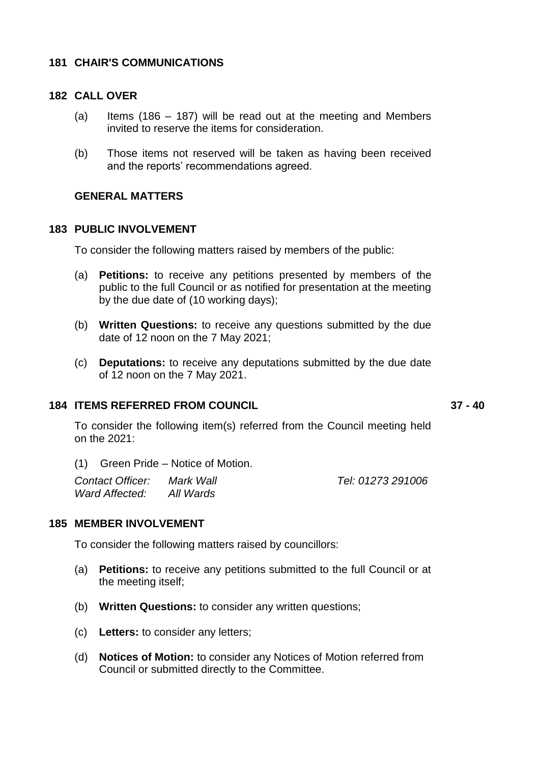#### **181 CHAIR'S COMMUNICATIONS**

#### **182 CALL OVER**

- (a) Items (186 187) will be read out at the meeting and Members invited to reserve the items for consideration.
- (b) Those items not reserved will be taken as having been received and the reports' recommendations agreed.

#### **GENERAL MATTERS**

#### **183 PUBLIC INVOLVEMENT**

To consider the following matters raised by members of the public:

- (a) **Petitions:** to receive any petitions presented by members of the public to the full Council or as notified for presentation at the meeting by the due date of (10 working days);
- (b) **Written Questions:** to receive any questions submitted by the due date of 12 noon on the 7 May 2021;
- (c) **Deputations:** to receive any deputations submitted by the due date of 12 noon on the 7 May 2021.

#### **184 ITEMS REFERRED FROM COUNCIL 37 - 40**

To consider the following item(s) referred from the Council meeting held on the 2021:

(1) Green Pride – Notice of Motion.

| <b>Contact Officer:</b> | Mark Wall | Tel: 01273 291006 |
|-------------------------|-----------|-------------------|
| Ward Affected:          | All Wards |                   |

#### **185 MEMBER INVOLVEMENT**

To consider the following matters raised by councillors:

- (a) **Petitions:** to receive any petitions submitted to the full Council or at the meeting itself;
- (b) **Written Questions:** to consider any written questions;
- (c) **Letters:** to consider any letters;
- (d) **Notices of Motion:** to consider any Notices of Motion referred from Council or submitted directly to the Committee.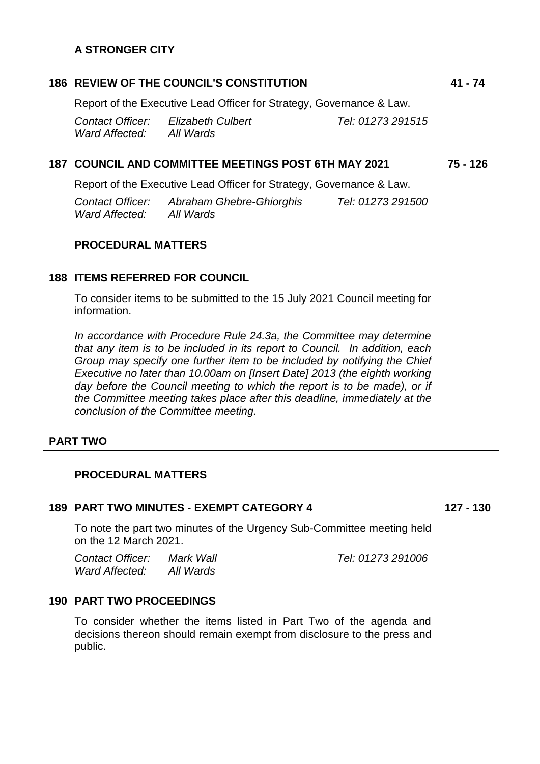### **A STRONGER CITY**

### **186 REVIEW OF THE COUNCIL'S CONSTITUTION 41 - 74**

Report of the Executive Lead Officer for Strategy, Governance & Law. *Contact Officer: Elizabeth Culbert Tel: 01273 291515 Ward Affected: All Wards*

#### **187 COUNCIL AND COMMITTEE MEETINGS POST 6TH MAY 2021 75 - 126**

Report of the Executive Lead Officer for Strategy, Governance & Law.

*Contact Officer: Abraham Ghebre-Ghiorghis Tel: 01273 291500 Ward Affected: All Wards*

#### **PROCEDURAL MATTERS**

#### **188 ITEMS REFERRED FOR COUNCIL**

To consider items to be submitted to the 15 July 2021 Council meeting for information.

*In accordance with Procedure Rule 24.3a, the Committee may determine that any item is to be included in its report to Council. In addition, each Group may specify one further item to be included by notifying the Chief Executive no later than 10.00am on [Insert Date] 2013 (the eighth working*  day before the Council meeting to which the report is to be made), or if *the Committee meeting takes place after this deadline, immediately at the conclusion of the Committee meeting.*

#### **PART TWO**

#### **PROCEDURAL MATTERS**

#### **189 PART TWO MINUTES - EXEMPT CATEGORY 4 127 - 130**

To note the part two minutes of the Urgency Sub-Committee meeting held on the 12 March 2021.

*Contact Officer: Mark Wall Tel: 01273 291006 Ward Affected: All Wards*

#### **190 PART TWO PROCEEDINGS**

To consider whether the items listed in Part Two of the agenda and decisions thereon should remain exempt from disclosure to the press and public.